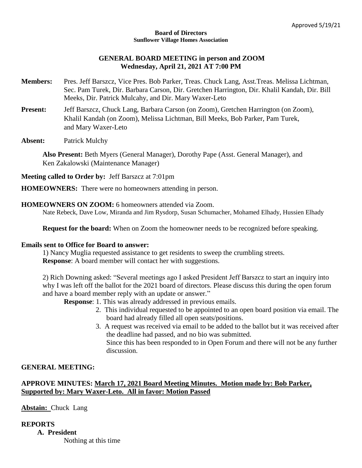#### **Board of Directors Sunflower Village Homes Association**

# **GENERAL BOARD MEETING in person and ZOOM Wednesday, April 21, 2021 AT 7:00 PM**

- **Members:** Pres. Jeff Barszcz, Vice Pres. Bob Parker, Treas. Chuck Lang, Asst.Treas. Melissa Lichtman, Sec. Pam Turek, Dir. Barbara Carson, Dir. Gretchen Harrington, Dir. Khalil Kandah, Dir. Bill Meeks, Dir. Patrick Mulcahy, and Dir. Mary Waxer-Leto
- Present: Jeff Barszcz, Chuck Lang, Barbara Carson (on Zoom), Gretchen Harrington (on Zoom), Khalil Kandah (on Zoom), Melissa Lichtman, Bill Meeks, Bob Parker, Pam Turek, and Mary Waxer-Leto
- **Absent:** Patrick Mulchy

**Also Present:** Beth Myers (General Manager), Dorothy Pape (Asst. General Manager), and Ken Zakalowski (Maintenance Manager)

**Meeting called to Order by:** Jeff Barszcz at 7:01pm

**HOMEOWNERS:** There were no homeowners attending in person.

# **HOMEOWNERS ON ZOOM:** 6 homeowners attended via Zoom.

Nate Rebeck, Dave Low, Miranda and Jim Rysdorp, Susan Schumacher, Mohamed Elhady, Hussien Elhady

**Request for the board:** When on Zoom the homeowner needs to be recognized before speaking.

### **Emails sent to Office for Board to answer:**

1) Nancy Muglia requested assistance to get residents to sweep the crumbling streets. **Response**: A board member will contact her with suggestions.

2) Rich Downing asked: "Several meetings ago I asked President Jeff Barszcz to start an inquiry into why I was left off the ballot for the 2021 board of directors. Please discuss this during the open forum and have a board member reply with an update or answer."

**Response**: 1. This was already addressed in previous emails.

- 2. This individual requested to be appointed to an open board position via email. The board had already filled all open seats/positions.
- 3. A request was received via email to be added to the ballot but it was received after the deadline had passed, and no bio was submitted. Since this has been responded to in Open Forum and there will not be any further discussion.

# **GENERAL MEETING:**

# **APPROVE MINUTES: March 17, 2021 Board Meeting Minutes. Motion made by: Bob Parker, Supported by: Mary Waxer-Leto. All in favor: Motion Passed**

**Abstain:** Chuck Lang

### **REPORTS**

**A. President** Nothing at this time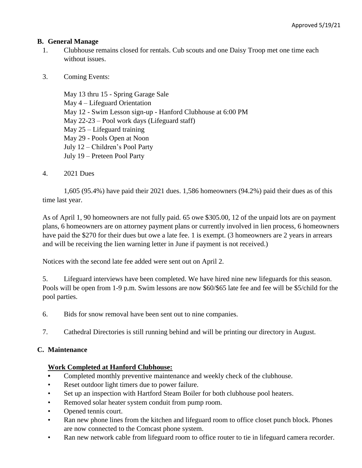# **B. General Manage**

- 1. Clubhouse remains closed for rentals. Cub scouts and one Daisy Troop met one time each without issues.
- 3. Coming Events:

May 13 thru 15 - Spring Garage Sale May 4 – Lifeguard Orientation May 12 - Swim Lesson sign-up - Hanford Clubhouse at 6:00 PM May 22-23 – Pool work days (Lifeguard staff) May 25 – Lifeguard training May 29 - Pools Open at Noon July 12 – Children's Pool Party July 19 – Preteen Pool Party

4. 2021 Dues

1,605 (95.4%) have paid their 2021 dues. 1,586 homeowners (94.2%) paid their dues as of this time last year.

As of April 1, 90 homeowners are not fully paid. 65 owe \$305.00, 12 of the unpaid lots are on payment plans, 6 homeowners are on attorney payment plans or currently involved in lien process, 6 homeowners have paid the \$270 for their dues but owe a late fee. 1 is exempt. (3 homeowners are 2 years in arrears and will be receiving the lien warning letter in June if payment is not received.)

Notices with the second late fee added were sent out on April 2.

5. Lifeguard interviews have been completed. We have hired nine new lifeguards for this season. Pools will be open from 1-9 p.m. Swim lessons are now \$60/\$65 late fee and fee will be \$5/child for the pool parties.

- 6. Bids for snow removal have been sent out to nine companies.
- 7. Cathedral Directories is still running behind and will be printing our directory in August.

# **C. Maintenance**

# **Work Completed at Hanford Clubhouse:**

- **•** Completed monthly preventive maintenance and weekly check of the clubhouse.
- Reset outdoor light timers due to power failure.
- Set up an inspection with Hartford Steam Boiler for both clubhouse pool heaters.
- Removed solar heater system conduit from pump room.
- Opened tennis court.
- Ran new phone lines from the kitchen and lifeguard room to office closet punch block. Phones are now connected to the Comcast phone system.
- Ran new network cable from lifeguard room to office router to tie in lifeguard camera recorder.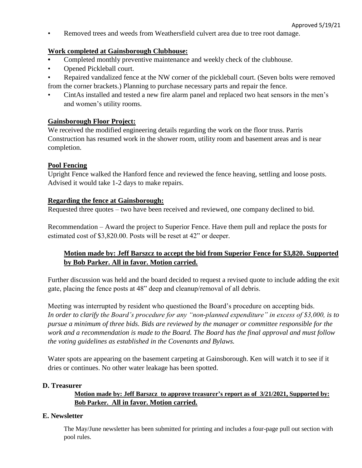• Removed trees and weeds from Weathersfield culvert area due to tree root damage.

# **Work completed at Gainsborough Clubhouse:**

- **•** Completed monthly preventive maintenance and weekly check of the clubhouse.
- Opened Pickleball court.
- Repaired vandalized fence at the NW corner of the pickleball court. (Seven bolts were removed from the corner brackets.) Planning to purchase necessary parts and repair the fence.
- CintAs installed and tested a new fire alarm panel and replaced two heat sensors in the men's and women's utility rooms.

### **Gainsborough Floor Project:**

We received the modified engineering details regarding the work on the floor truss. Parris Construction has resumed work in the shower room, utility room and basement areas and is near completion.

### **Pool Fencing**

Upright Fence walked the Hanford fence and reviewed the fence heaving, settling and loose posts. Advised it would take 1-2 days to make repairs.

# **Regarding the fence at Gainsborough:**

Requested three quotes – two have been received and reviewed, one company declined to bid.

Recommendation – Award the project to Superior Fence. Have them pull and replace the posts for estimated cost of \$3,820.00. Posts will be reset at 42" or deeper.

# **Motion made by: Jeff Barszcz to accept the bid from Superior Fence for \$3,820. Supported by Bob Parker. All in favor. Motion carried.**

Further discussion was held and the board decided to request a revised quote to include adding the exit gate, placing the fence posts at 48" deep and cleanup/removal of all debris.

Meeting was interrupted by resident who questioned the Board's procedure on accepting bids. *In order to clarify the Board's procedure for any "non-planned expenditure" in excess of \$3,000, is to pursue a minimum of three bids. Bids are reviewed by the manager or committee responsible for the work and a recommendation is made to the Board. The Board has the final approval and must follow the voting guidelines as established in the Covenants and Bylaws.*

Water spots are appearing on the basement carpeting at Gainsborough. Ken will watch it to see if it dries or continues. No other water leakage has been spotted.

### **D. Treasurer**

# **Motion made by: Jeff Barszcz to approve treasurer's report as of 3/21/2021, Supported by: Bob Parker. All in favor. Motion carried.**

### **E. Newsletter**

The May/June newsletter has been submitted for printing and includes a four-page pull out section with pool rules.